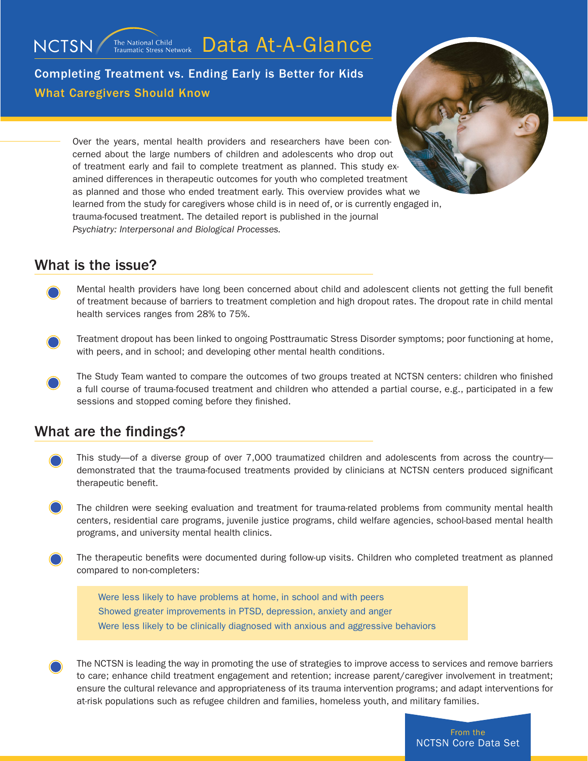The National Child<br>Traumatic Stress Network Data At-A-Glance

Completing Treatment vs. Ending Early is Better for Kids What Caregivers Should Know



Over the years, mental health providers and researchers have been concerned about the large numbers of children and adolescents who drop out of treatment early and fail to complete treatment as planned. This study examined differences in therapeutic outcomes for youth who completed treatment as planned and those who ended treatment early. This overview provides what we learned from the study for caregivers whose child is in need of, or is currently engaged in, trauma-focused treatment. The detailed report is published in the journal *Psychiatry: Interpersonal and Biological Processes.*

## What is the issue?

NCTSN/

- Mental health providers have long been concerned about child and adolescent clients not getting the full benefit of treatment because of barriers to treatment completion and high dropout rates. The dropout rate in child mental health services ranges from 28% to 75%.
- Treatment dropout has been linked to ongoing Posttraumatic Stress Disorder symptoms; poor functioning at home, with peers, and in school; and developing other mental health conditions.
- The Study Team wanted to compare the outcomes of two groups treated at NCTSN centers: children who finished a full course of trauma-focused treatment and children who attended a partial course, e.g., participated in a few sessions and stopped coming before they finished.

## What are the findings?

- This study—of a diverse group of over 7,000 traumatized children and adolescents from across the country demonstrated that the trauma-focused treatments provided by clinicians at NCTSN centers produced significant therapeutic benefit.
- The children were seeking evaluation and treatment for trauma-related problems from community mental health centers, residential care programs, juvenile justice programs, child welfare agencies, school-based mental health programs, and university mental health clinics.
- The therapeutic benefits were documented during follow-up visits. Children who completed treatment as planned compared to non-completers:

Were less likely to have problems at home, in school and with peers Showed greater improvements in PTSD, depression, anxiety and anger Were less likely to be clinically diagnosed with anxious and aggressive behaviors

The NCTSN is leading the way in promoting the use of strategies to improve access to services and remove barriers to care; enhance child treatment engagement and retention; increase parent/caregiver involvement in treatment; ensure the cultural relevance and appropriateness of its trauma intervention programs; and adapt interventions for at-risk populations such as refugee children and families, homeless youth, and military families.

> From the NCTSN Core Data Set